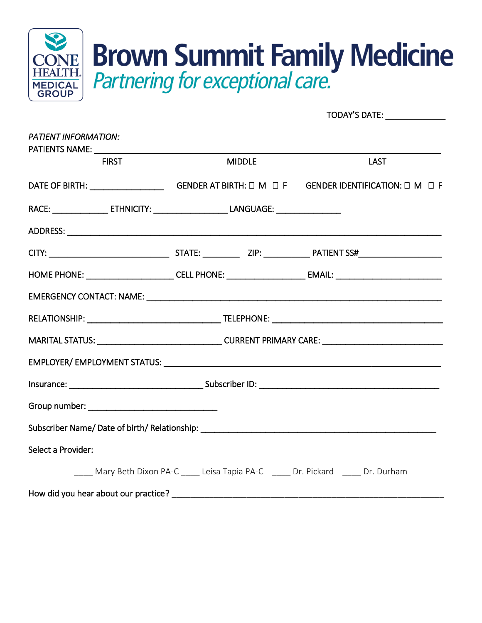

TODAY'S DATE:

| PATIENT INFORMATION:                                                                                |  |               |  |                                                                                                     |  |  |  |
|-----------------------------------------------------------------------------------------------------|--|---------------|--|-----------------------------------------------------------------------------------------------------|--|--|--|
| <b>FIRST</b>                                                                                        |  | <b>MIDDLE</b> |  | <b>LAST</b>                                                                                         |  |  |  |
|                                                                                                     |  |               |  |                                                                                                     |  |  |  |
| RACE: ___________________ ETHNICITY: _________________________LANGUAGE: ___________________________ |  |               |  |                                                                                                     |  |  |  |
|                                                                                                     |  |               |  |                                                                                                     |  |  |  |
|                                                                                                     |  |               |  |                                                                                                     |  |  |  |
|                                                                                                     |  |               |  |                                                                                                     |  |  |  |
|                                                                                                     |  |               |  |                                                                                                     |  |  |  |
|                                                                                                     |  |               |  |                                                                                                     |  |  |  |
|                                                                                                     |  |               |  | MARITAL STATUS: ___________________________________CURRENT PRIMARY CARE: __________________________ |  |  |  |
|                                                                                                     |  |               |  |                                                                                                     |  |  |  |
|                                                                                                     |  |               |  |                                                                                                     |  |  |  |
|                                                                                                     |  |               |  |                                                                                                     |  |  |  |
|                                                                                                     |  |               |  |                                                                                                     |  |  |  |
| Select a Provider:                                                                                  |  |               |  |                                                                                                     |  |  |  |
|                                                                                                     |  |               |  | Mary Beth Dixon PA-C Leisa Tapia PA-C Dr. Pickard Dr. Durham                                        |  |  |  |
|                                                                                                     |  |               |  |                                                                                                     |  |  |  |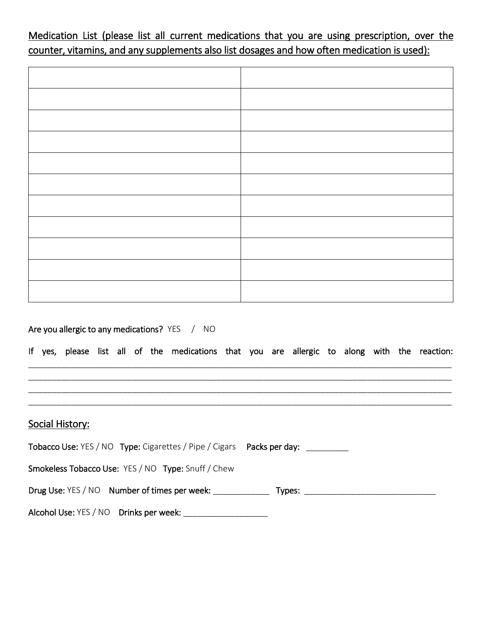Medication List (please list all current medications that you are using prescription, over the counter, vitamins, and any supplements also list dosages and how often medication is used):

## Are you allergic to any medications? YES / NO

If yes, please list all of the medications that you are allergic to along with the reaction: \_\_\_\_\_\_\_\_\_\_\_\_\_\_\_\_\_\_\_\_\_\_\_\_\_\_\_\_\_\_\_\_\_\_\_\_\_\_\_\_\_\_\_\_\_\_\_\_\_\_\_\_\_\_\_\_\_\_\_\_\_\_\_\_\_\_\_\_\_\_\_\_\_\_\_\_\_\_\_\_\_\_\_\_\_\_\_\_\_\_

\_\_\_\_\_\_\_\_\_\_\_\_\_\_\_\_\_\_\_\_\_\_\_\_\_\_\_\_\_\_\_\_\_\_\_\_\_\_\_\_\_\_\_\_\_\_\_\_\_\_\_\_\_\_\_\_\_\_\_\_\_\_\_\_\_\_\_\_\_\_\_\_\_\_\_\_\_\_\_\_\_\_\_\_\_\_\_\_\_\_ \_\_\_\_\_\_\_\_\_\_\_\_\_\_\_\_\_\_\_\_\_\_\_\_\_\_\_\_\_\_\_\_\_\_\_\_\_\_\_\_\_\_\_\_\_\_\_\_\_\_\_\_\_\_\_\_\_\_\_\_\_\_\_\_\_\_\_\_\_\_\_\_\_\_\_\_\_\_\_\_\_\_\_\_\_\_\_\_\_\_ \_\_\_\_\_\_\_\_\_\_\_\_\_\_\_\_\_\_\_\_\_\_\_\_\_\_\_\_\_\_\_\_\_\_\_\_\_\_\_\_\_\_\_\_\_\_\_\_\_\_\_\_\_\_\_\_\_\_\_\_\_\_\_\_\_\_\_\_\_\_\_\_\_\_\_\_\_\_\_\_\_\_\_\_\_\_\_\_\_\_

#### Social History:

| Tobacco Use: YES / NO Type: Cigarettes / Pipe / Cigars Packs per day: __________ |        |
|----------------------------------------------------------------------------------|--------|
| <b>Smokeless Tobacco Use: YES / NO Type: Snuff / Chew</b>                        |        |
| Drug Use: YES / NO Number of times per week:                                     | Types: |
| Alcohol Use: YES / NO Drinks per week:                                           |        |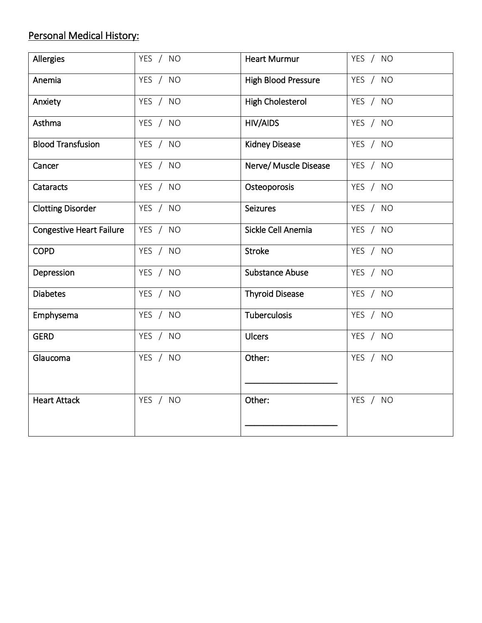# Personal Medical History:

| Allergies                       | YES / NO | <b>Heart Murmur</b>        | YES / NO |
|---------------------------------|----------|----------------------------|----------|
| Anemia                          | YES / NO | <b>High Blood Pressure</b> | YES / NO |
| Anxiety                         | YES / NO | <b>High Cholesterol</b>    | YES / NO |
| Asthma                          | YES / NO | <b>HIV/AIDS</b>            | YES / NO |
| <b>Blood Transfusion</b>        | YES / NO | <b>Kidney Disease</b>      | YES / NO |
| Cancer                          | YES / NO | Nerve/ Muscle Disease      | YES / NO |
| Cataracts                       | YES / NO | Osteoporosis               | YES / NO |
| <b>Clotting Disorder</b>        | YES / NO | <b>Seizures</b>            | YES / NO |
| <b>Congestive Heart Failure</b> | YES / NO | Sickle Cell Anemia         | YES / NO |
| <b>COPD</b>                     | YES / NO | <b>Stroke</b>              | YES / NO |
| Depression                      | YES / NO | <b>Substance Abuse</b>     | YES / NO |
| <b>Diabetes</b>                 | YES / NO | <b>Thyroid Disease</b>     | YES / NO |
| Emphysema                       | YES / NO | <b>Tuberculosis</b>        | YES / NO |
| <b>GERD</b>                     | YES / NO | <b>Ulcers</b>              | YES / NO |
| Glaucoma                        | YES / NO | Other:                     | YES / NO |
| <b>Heart Attack</b>             | YES / NO | Other:                     | YES / NO |